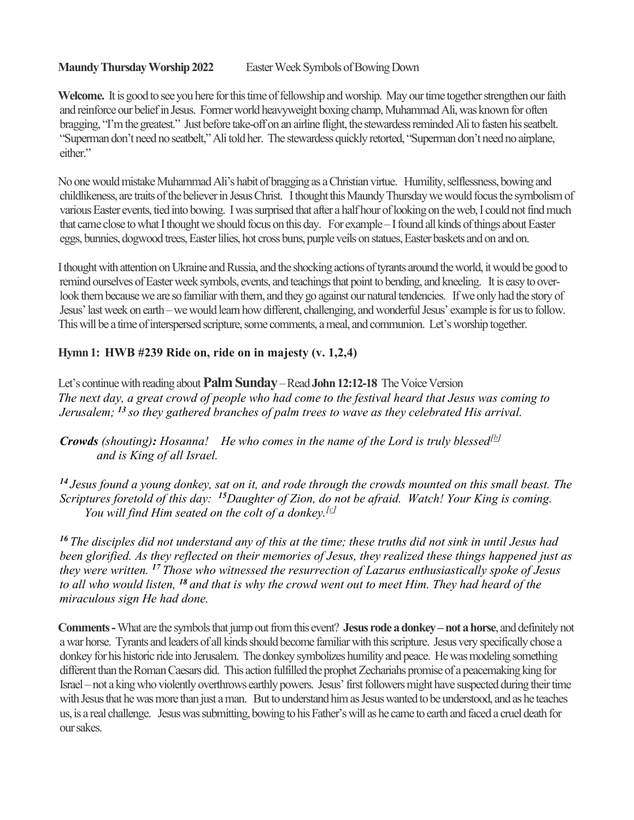### Maundy Thursday Worship 2022 Easter Week Symbols of Bowing Down

Welcome. It is good to see you here for this time of fellowship and worship. May our time together strengthen our faith and reinforce our belief in Jesus. Former world heavyweight boxing champ, Muhammad Ali, was known for often bragging, "I'm the greatest." Just before take-off on an airline flight, the stewardess reminded Ali to fasten his seatbelt. "Superman don't need no seatbelt," Ali told her. The stewardess quickly retorted, "Superman don't need no airplane, either."

No one would mistake Muhammad Ali's habit of bragging as a Christian virtue. Humility, selflessness, bowing and childlikeness, are traits of the believer in Jesus Christ. I thought this Maundy Thursday we would focus the symbolism of various Easter events, tied into bowing. I was surprised that after a half hour of looking on the web, I could not find much that came close to what I thought we should focus on this day. For example – I found all kinds of things about Easter eggs, bunnies, dogwood trees, Easter lilies, hot cross buns, purple veils on statues, Easter baskets and on and on.

I thought with attention on Ukraine and Russia, and the shocking actions of tyrants around the world, it would be good to remind ourselves of Easter week symbols, events, and teachings that point to bending, and kneeling. It is easy to overlook them because we are so familiar with them, and they go against our natural tendencies. If we only had the story of Jesus' last week on earth – we would learn how different, challenging, and wonderful Jesus' example is for us to follow. This will be a time of interspersed scripture, some comments, a meal, and communion. Let's worship together.

# Hymn 1: HWB #239 Ride on, ride on in majesty (v. 1,2,4)

Let's continue with reading about **Palm Sunday** – Read John 12:12-18 The Voice Version The next day, a great crowd of people who had come to the festival heard that Jesus was coming to Jerusalem;  $^{13}$  so they gathered branches of palm trees to wave as they celebrated His arrival.

**Crowds** (shouting): Hosanna! He who comes in the name of the Lord is truly blessed<sup>[b]</sup> and is King of all Israel.

 $14$  Jesus found a young donkey, sat on it, and rode through the crowds mounted on this small beast. The Scriptures foretold of this day: <sup>15</sup>Daughter of Zion, do not be afraid. Watch! Your King is coming. You will find Him seated on the colt of a donkey.<sup>[c]</sup>

<sup>16</sup> The disciples did not understand any of this at the time; these truths did not sink in until Jesus had been glorified. As they reflected on their memories of Jesus, they realized these things happened just as they were written.  $^{17}$  Those who witnessed the resurrection of Lazarus enthusiastically spoke of Jesus to all who would listen,  $^{18}$  and that is why the crowd went out to meet Him. They had heard of the miraculous sign He had done.

Comments - What are the symbols that jump out from this event? Jesus rode a donkey – not a horse, and definitely not a war horse. Tyrants and leaders of all kinds should become familiar with this scripture. Jesus very specifically chose a donkey for his historic ride into Jerusalem. The donkey symbolizes humility and peace. He was modeling something different than the Roman Caesars did. This action fulfilled the prophet Zechariahs promise of a peacemaking king for Israel – not a king who violently overthrows earthly powers. Jesus' first followers might have suspected during their time with Jesus that he was more than just a man. But to understand him as Jesus wanted to be understood, and as he teaches us, is a real challenge. Jesus was submitting, bowing to his Father's will as he came to earth and faced a cruel death for our sakes.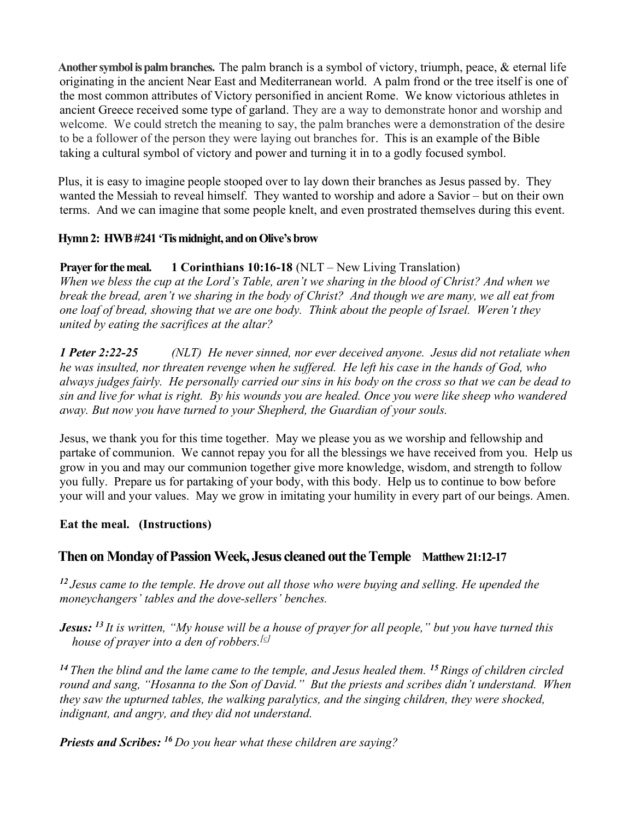Another symbol is palm branches. The palm branch is a symbol of victory, triumph, peace, & eternal life originating in the ancient Near East and Mediterranean world. A palm frond or the tree itself is one of the most common attributes of Victory personified in ancient Rome. We know victorious athletes in ancient Greece received some type of garland. They are a way to demonstrate honor and worship and welcome. We could stretch the meaning to say, the palm branches were a demonstration of the desire to be a follower of the person they were laying out branches for. This is an example of the Bible taking a cultural symbol of victory and power and turning it in to a godly focused symbol.

Plus, it is easy to imagine people stooped over to lay down their branches as Jesus passed by. They wanted the Messiah to reveal himself. They wanted to worship and adore a Savior – but on their own terms. And we can imagine that some people knelt, and even prostrated themselves during this event.

# Hymn 2: HWB #241 'Tis midnight, and on Olive's brow

# Prayer for the meal. 1 Corinthians 10:16-18 (NLT – New Living Translation)

When we bless the cup at the Lord's Table, aren't we sharing in the blood of Christ? And when we break the bread, aren't we sharing in the body of Christ? And though we are many, we all eat from one loaf of bread, showing that we are one body. Think about the people of Israel. Weren't they united by eating the sacrifices at the altar?

1 **Peter 2:22-25** (NLT) He never sinned, nor ever deceived anyone. Jesus did not retaliate when he was insulted, nor threaten revenge when he suffered. He left his case in the hands of God, who always judges fairly. He personally carried our sins in his body on the cross so that we can be dead to sin and live for what is right. By his wounds you are healed. Once you were like sheep who wandered away. But now you have turned to your Shepherd, the Guardian of your souls.

Jesus, we thank you for this time together. May we please you as we worship and fellowship and partake of communion. We cannot repay you for all the blessings we have received from you. Help us grow in you and may our communion together give more knowledge, wisdom, and strength to follow you fully. Prepare us for partaking of your body, with this body. Help us to continue to bow before your will and your values. May we grow in imitating your humility in every part of our beings. Amen.

## Eat the meal. (Instructions)

# Then on Monday of Passion Week, Jesus cleaned out the Temple Matthew 21:12-17

 $12$  Jesus came to the temple. He drove out all those who were buying and selling. He upended the moneychangers' tables and the dove-sellers' benches.

**Jesus:** <sup>13</sup> It is written, "My house will be a house of prayer for all people," but you have turned this house of prayer into a den of robbers.<sup>[c]</sup>

<sup>14</sup> Then the blind and the lame came to the temple, and Jesus healed them. <sup>15</sup> Rings of children circled round and sang, "Hosanna to the Son of David." But the priests and scribes didn't understand. When they saw the upturned tables, the walking paralytics, and the singing children, they were shocked, indignant, and angry, and they did not understand.

**Priests and Scribes:**  $^{16}$  Do you hear what these children are saying?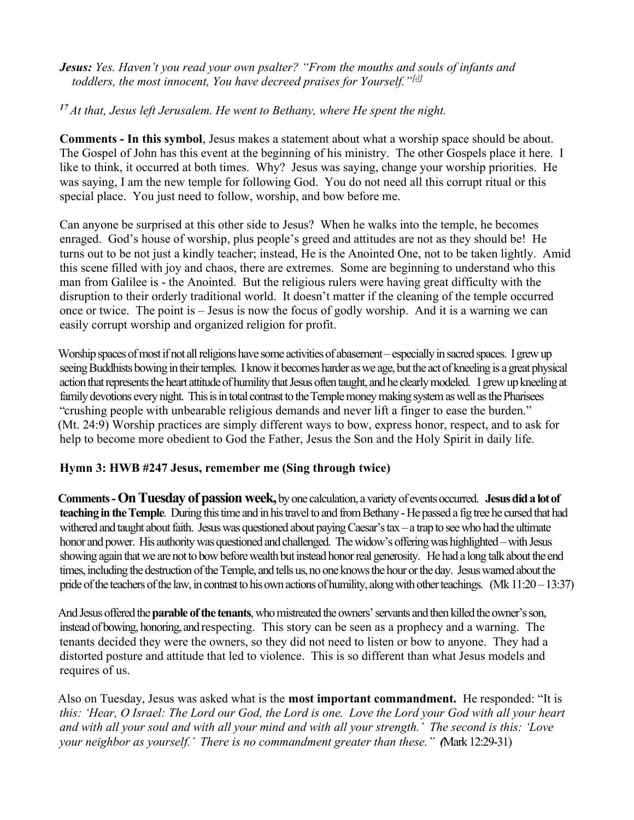**Jesus:** Yes. Haven't you read your own psalter? "From the mouths and souls of infants and toddlers, the most innocent, You have decreed praises for Yourself." $[4]$ 

 $17$  At that, Jesus left Jerusalem. He went to Bethany, where He spent the night.

Comments - In this symbol, Jesus makes a statement about what a worship space should be about. The Gospel of John has this event at the beginning of his ministry. The other Gospels place it here. I like to think, it occurred at both times. Why? Jesus was saying, change your worship priorities. He was saying, I am the new temple for following God. You do not need all this corrupt ritual or this special place. You just need to follow, worship, and bow before me.

Can anyone be surprised at this other side to Jesus? When he walks into the temple, he becomes enraged. God's house of worship, plus people's greed and attitudes are not as they should be! He turns out to be not just a kindly teacher; instead, He is the Anointed One, not to be taken lightly. Amid this scene filled with joy and chaos, there are extremes. Some are beginning to understand who this man from Galilee is - the Anointed. But the religious rulers were having great difficulty with the disruption to their orderly traditional world. It doesn't matter if the cleaning of the temple occurred once or twice. The point is – Jesus is now the focus of godly worship. And it is a warning we can easily corrupt worship and organized religion for profit.

Worship spaces of most if not all religions have some activities of abasement – especially in sacred spaces. I grew up seeing Buddhists bowing in their temples. I know it becomes harder as we age, but the act of kneeling is a great physical action that represents the heart attitude of humility that Jesus often taught, and he clearly modeled. I grew up kneeling at family devotions every night. This is in total contrast to the Temple money making system as well as the Pharisees "crushing people with unbearable religious demands and never lift a finger to ease the burden." (Mt. 24:9) Worship practices are simply different ways to bow, express honor, respect, and to ask for help to become more obedient to God the Father, Jesus the Son and the Holy Spirit in daily life.

## Hymn 3: HWB #247 Jesus, remember me (Sing through twice)

Comments - On Tuesday of passion week, by one calculation, a variety of events occurred. Jesus did a lot of teaching in the Temple. During this time and in his travel to and from Bethany - He passed a fig tree he cursed that had withered and taught about faith. Jesus was questioned about paying Caesar's tax – a trap to see who had the ultimate honor and power. His authority was questioned and challenged. The widow's offering was highlighted – with Jesus showing again that we are not to bow before wealth but instead honor real generosity. He had a long talk about the end times, including the destruction of the Temple, and tells us, no one knows the hour or the day. Jesus warned about the pride of the teachers of the law, in contrast to his own actions of humility, along with other teachings. (Mk 11:20 – 13:37)

And Jesus offered the **parable of the tenants**, who mistreated the owners' servants and then killed the owner's son, instead of bowing, honoring, and respecting. This story can be seen as a prophecy and a warning. The tenants decided they were the owners, so they did not need to listen or bow to anyone. They had a distorted posture and attitude that led to violence. This is so different than what Jesus models and requires of us.

Also on Tuesday, Jesus was asked what is the **most important commandment.** He responded: "It is this: 'Hear, O Israel: The Lord our God, the Lord is one. Love the Lord your God with all your heart and with all your soul and with all your mind and with all your strength.' The second is this: 'Love your neighbor as yourself.' There is no commandment greater than these." (Mark 12:29-31)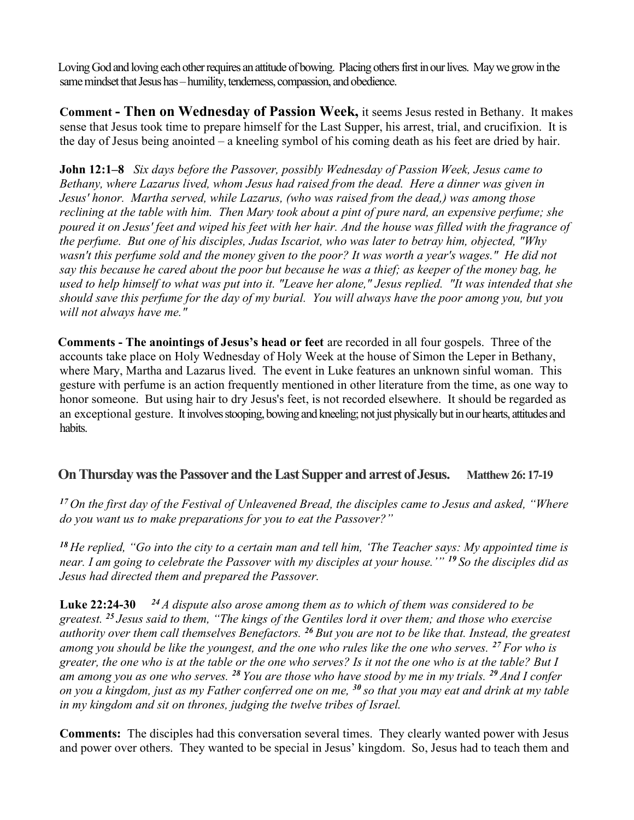Loving God and loving each other requires an attitude of bowing. Placing others first in our lives. May we grow in the same mindset that Jesus has – humility, tenderness, compassion, and obedience.

Comment - Then on Wednesday of Passion Week, it seems Jesus rested in Bethany. It makes sense that Jesus took time to prepare himself for the Last Supper, his arrest, trial, and crucifixion. It is the day of Jesus being anointed – a kneeling symbol of his coming death as his feet are dried by hair.

**John 12:1–8** Six days before the Passover, possibly Wednesday of Passion Week, Jesus came to Bethany, where Lazarus lived, whom Jesus had raised from the dead. Here a dinner was given in Jesus' honor. Martha served, while Lazarus, (who was raised from the dead,) was among those reclining at the table with him. Then Mary took about a pint of pure nard, an expensive perfume; she poured it on Jesus' feet and wiped his feet with her hair. And the house was filled with the fragrance of the perfume. But one of his disciples, Judas Iscariot, who was later to betray him, objected, "Why wasn't this perfume sold and the money given to the poor? It was worth a year's wages." He did not say this because he cared about the poor but because he was a thief; as keeper of the money bag, he used to help himself to what was put into it. "Leave her alone," Jesus replied. "It was intended that she should save this perfume for the day of my burial. You will always have the poor among you, but you will not always have me."

Comments - The anointings of Jesus's head or feet are recorded in all four gospels. Three of the accounts take place on Holy Wednesday of Holy Week at the house of Simon the Leper in Bethany, where Mary, Martha and Lazarus lived. The event in Luke features an unknown sinful woman. This gesture with perfume is an action frequently mentioned in other literature from the time, as one way to honor someone. But using hair to dry Jesus's feet, is not recorded elsewhere. It should be regarded as an exceptional gesture. It involves stooping, bowing and kneeling; not just physically but in our hearts, attitudes and habits.

# On Thursday was the Passover and the Last Supper and arrest of Jesus. Matthew 26: 17-19

<sup>17</sup> On the first day of the Festival of Unleavened Bread, the disciples came to Jesus and asked, "Where do you want us to make preparations for you to eat the Passover?"

<sup>18</sup> He replied, "Go into the city to a certain man and tell him, 'The Teacher says: My appointed time is near. I am going to celebrate the Passover with my disciples at your house.'" <sup>19</sup> So the disciples did as Jesus had directed them and prepared the Passover.

**Luke 22:24-30** <sup>24</sup> A dispute also arose among them as to which of them was considered to be greatest. <sup>25</sup> Jesus said to them, "The kings of the Gentiles lord it over them; and those who exercise authority over them call themselves Benefactors.  $^{26}$  But you are not to be like that. Instead, the greatest among you should be like the youngest, and the one who rules like the one who serves.  $^{27}$  For who is greater, the one who is at the table or the one who serves? Is it not the one who is at the table? But I am among you as one who serves. <sup>28</sup> You are those who have stood by me in my trials. <sup>29</sup> And I confer on you a kingdom, just as my Father conferred one on me,  $^{30}$  so that you may eat and drink at my table in my kingdom and sit on thrones, judging the twelve tribes of Israel.

Comments: The disciples had this conversation several times. They clearly wanted power with Jesus and power over others. They wanted to be special in Jesus' kingdom. So, Jesus had to teach them and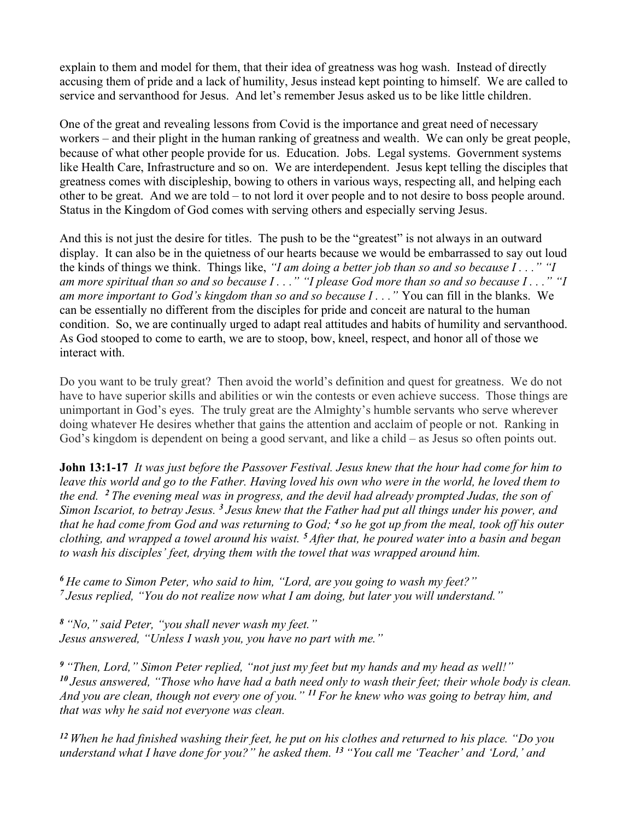explain to them and model for them, that their idea of greatness was hog wash. Instead of directly accusing them of pride and a lack of humility, Jesus instead kept pointing to himself. We are called to service and servanthood for Jesus. And let's remember Jesus asked us to be like little children.

One of the great and revealing lessons from Covid is the importance and great need of necessary workers – and their plight in the human ranking of greatness and wealth. We can only be great people, because of what other people provide for us. Education. Jobs. Legal systems. Government systems like Health Care, Infrastructure and so on. We are interdependent. Jesus kept telling the disciples that greatness comes with discipleship, bowing to others in various ways, respecting all, and helping each other to be great. And we are told – to not lord it over people and to not desire to boss people around. Status in the Kingdom of God comes with serving others and especially serving Jesus.

And this is not just the desire for titles. The push to be the "greatest" is not always in an outward display. It can also be in the quietness of our hearts because we would be embarrassed to say out loud the kinds of things we think. Things like, "I am doing a better job than so and so because  $I \ldots$ " "I am more spiritual than so and so because  $I \ldots$ " "I please God more than so and so because  $I \ldots$ " "I am more important to God's kingdom than so and so because  $I \dots$ " You can fill in the blanks. We can be essentially no different from the disciples for pride and conceit are natural to the human condition. So, we are continually urged to adapt real attitudes and habits of humility and servanthood. As God stooped to come to earth, we are to stoop, bow, kneel, respect, and honor all of those we interact with.

Do you want to be truly great? Then avoid the world's definition and quest for greatness. We do not have to have superior skills and abilities or win the contests or even achieve success. Those things are unimportant in God's eyes. The truly great are the Almighty's humble servants who serve wherever doing whatever He desires whether that gains the attention and acclaim of people or not. Ranking in God's kingdom is dependent on being a good servant, and like a child – as Jesus so often points out.

**John 13:1-17** It was just before the Passover Festival. Jesus knew that the hour had come for him to leave this world and go to the Father. Having loved his own who were in the world, he loved them to the end.  $\frac{2}{3}$  The evening meal was in progress, and the devil had already prompted Judas, the son of Simon Iscariot, to betray Jesus.  $3$  Jesus knew that the Father had put all things under his power, and that he had come from God and was returning to God;  $\frac{4}{5}$  so he got up from the meal, took off his outer clothing, and wrapped a towel around his waist.  $5$  After that, he poured water into a basin and began to wash his disciples' feet, drying them with the towel that was wrapped around him.

 $6$  He came to Simon Peter, who said to him, "Lord, are you going to wash my feet?"  $<sup>7</sup>$  Jesus replied, "You do not realize now what I am doing, but later you will understand."</sup>

<sup>8</sup>"No," said Peter, "you shall never wash my feet." Jesus answered, "Unless I wash you, you have no part with me."

 $9$  "Then, Lord," Simon Peter replied, "not just my feet but my hands and my head as well!"  $10$  Jesus answered, "Those who have had a bath need only to wash their feet; their whole body is clean. And you are clean, though not every one of you."  $^{11}$  For he knew who was going to betray him, and that was why he said not everyone was clean.

 $12$  When he had finished washing their feet, he put on his clothes and returned to his place. "Do you understand what I have done for you?" he asked them.  $^{13}$  "You call me 'Teacher' and 'Lord,' and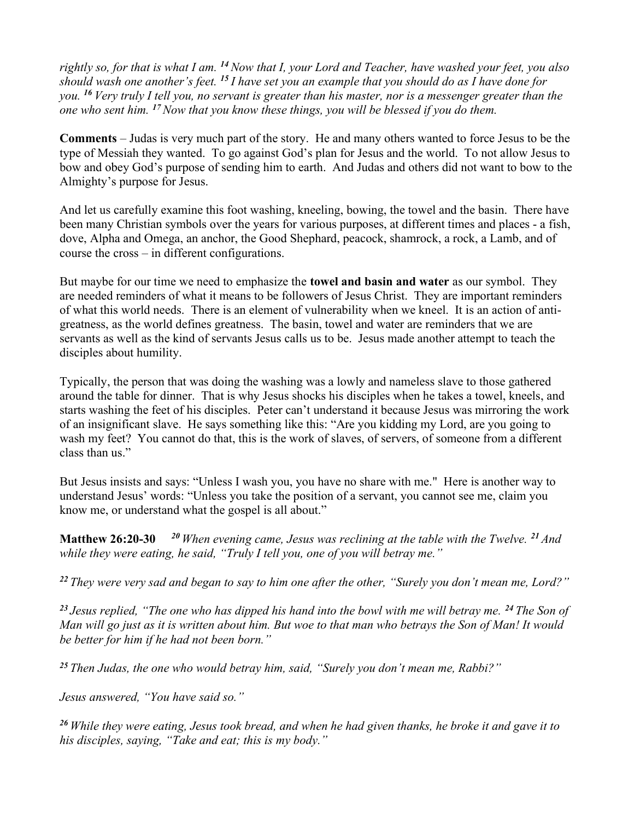rightly so, for that is what I am. <sup>14</sup> Now that I, your Lord and Teacher, have washed your feet, you also should wash one another's feet. <sup>15</sup> I have set you an example that you should do as I have done for you. <sup>16</sup> Very truly I tell you, no servant is greater than his master, nor is a messenger greater than the one who sent him.  $^{17}$  Now that you know these things, you will be blessed if you do them.

Comments – Judas is very much part of the story. He and many others wanted to force Jesus to be the type of Messiah they wanted. To go against God's plan for Jesus and the world. To not allow Jesus to bow and obey God's purpose of sending him to earth. And Judas and others did not want to bow to the Almighty's purpose for Jesus.

And let us carefully examine this foot washing, kneeling, bowing, the towel and the basin. There have been many Christian symbols over the years for various purposes, at different times and places - a fish, dove, Alpha and Omega, an anchor, the Good Shephard, peacock, shamrock, a rock, a Lamb, and of course the cross – in different configurations.

But maybe for our time we need to emphasize the **towel and basin and water** as our symbol. They are needed reminders of what it means to be followers of Jesus Christ. They are important reminders of what this world needs. There is an element of vulnerability when we kneel. It is an action of antigreatness, as the world defines greatness. The basin, towel and water are reminders that we are servants as well as the kind of servants Jesus calls us to be. Jesus made another attempt to teach the disciples about humility.

Typically, the person that was doing the washing was a lowly and nameless slave to those gathered around the table for dinner. That is why Jesus shocks his disciples when he takes a towel, kneels, and starts washing the feet of his disciples. Peter can't understand it because Jesus was mirroring the work of an insignificant slave. He says something like this: "Are you kidding my Lord, are you going to wash my feet? You cannot do that, this is the work of slaves, of servers, of someone from a different class than us."

But Jesus insists and says: "Unless I wash you, you have no share with me." Here is another way to understand Jesus' words: "Unless you take the position of a servant, you cannot see me, claim you know me, or understand what the gospel is all about."

**Matthew 26:20-30** <sup>20</sup> When evening came, Jesus was reclining at the table with the Twelve. <sup>21</sup> And while they were eating, he said, "Truly I tell you, one of you will betray me."

<sup>22</sup> They were very sad and began to say to him one after the other, "Surely you don't mean me, Lord?"

<sup>23</sup> Jesus replied, "The one who has dipped his hand into the bowl with me will betray me. <sup>24</sup> The Son of Man will go just as it is written about him. But woe to that man who betrays the Son of Man! It would be better for him if he had not been born."

<sup>25</sup> Then Judas, the one who would betray him, said, "Surely you don't mean me, Rabbi?"

Jesus answered, "You have said so."

 $26$  While they were eating, Jesus took bread, and when he had given thanks, he broke it and gave it to his disciples, saying, "Take and eat; this is my body."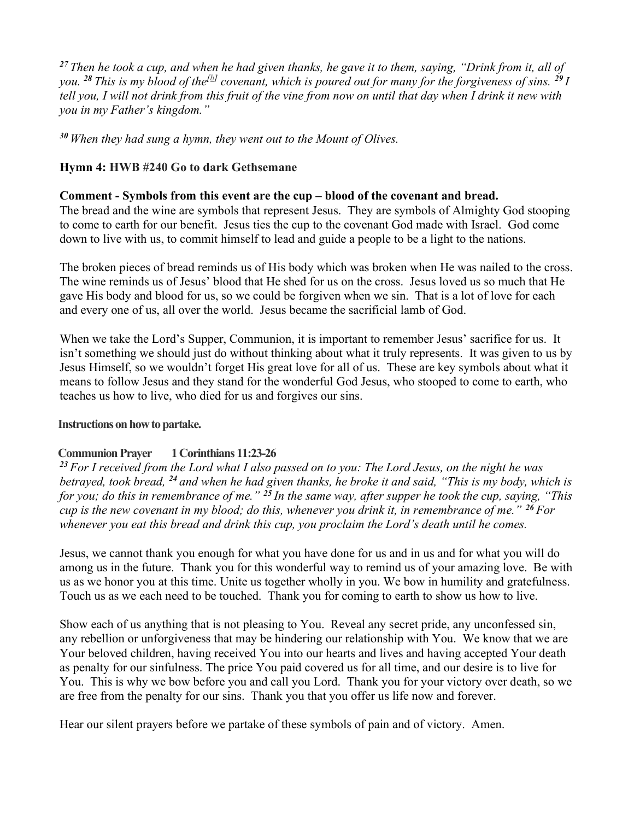<sup>27</sup> Then he took a cup, and when he had given thanks, he gave it to them, saying, "Drink from it, all of you. <sup>28</sup> This is my blood of the<sup>[b]</sup> covenant, which is poured out for many for the forgiveness of sins. <sup>29</sup> I tell you, I will not drink from this fruit of the vine from now on until that day when I drink it new with you in my Father's kingdom."

 $30$  When they had sung a hymn, they went out to the Mount of Olives.

## Hymn 4: HWB #240 Go to dark Gethsemane

### Comment - Symbols from this event are the cup – blood of the covenant and bread.

The bread and the wine are symbols that represent Jesus. They are symbols of Almighty God stooping to come to earth for our benefit. Jesus ties the cup to the covenant God made with Israel. God come down to live with us, to commit himself to lead and guide a people to be a light to the nations.

The broken pieces of bread reminds us of His body which was broken when He was nailed to the cross. The wine reminds us of Jesus' blood that He shed for us on the cross. Jesus loved us so much that He gave His body and blood for us, so we could be forgiven when we sin. That is a lot of love for each and every one of us, all over the world. Jesus became the sacrificial lamb of God.

When we take the Lord's Supper, Communion, it is important to remember Jesus' sacrifice for us. It isn't something we should just do without thinking about what it truly represents. It was given to us by Jesus Himself, so we wouldn't forget His great love for all of us. These are key symbols about what it means to follow Jesus and they stand for the wonderful God Jesus, who stooped to come to earth, who teaches us how to live, who died for us and forgives our sins.

#### Instructions on how to partake.

## Communion Prayer 1 Corinthians 11:23-26

 $23$  For I received from the Lord what I also passed on to you: The Lord Jesus, on the night he was betrayed, took bread,  $^{24}$  and when he had given thanks, he broke it and said, "This is my body, which is for you; do this in remembrance of me."  $^{25}$  In the same way, after supper he took the cup, saying, "This cup is the new covenant in my blood; do this, whenever you drink it, in remembrance of me."  $^{26}$  For whenever you eat this bread and drink this cup, you proclaim the Lord's death until he comes.

Jesus, we cannot thank you enough for what you have done for us and in us and for what you will do among us in the future. Thank you for this wonderful way to remind us of your amazing love. Be with us as we honor you at this time. Unite us together wholly in you. We bow in humility and gratefulness. Touch us as we each need to be touched. Thank you for coming to earth to show us how to live.

Show each of us anything that is not pleasing to You. Reveal any secret pride, any unconfessed sin, any rebellion or unforgiveness that may be hindering our relationship with You. We know that we are Your beloved children, having received You into our hearts and lives and having accepted Your death as penalty for our sinfulness. The price You paid covered us for all time, and our desire is to live for You. This is why we bow before you and call you Lord. Thank you for your victory over death, so we are free from the penalty for our sins. Thank you that you offer us life now and forever.

Hear our silent prayers before we partake of these symbols of pain and of victory. Amen.